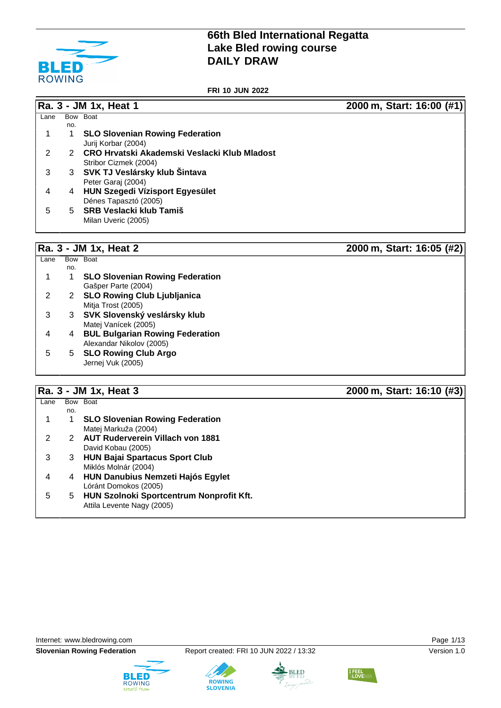

**FRI 10 JUN 2022**

**Ra. 3 - JM 1x, Heat 1 2000 m, Start: 16:00 (#1)**

| Lane | <b>Bow</b> | <b>Boat</b>                                    |
|------|------------|------------------------------------------------|
|      | no.        |                                                |
| 1    | 1          | <b>SLO Slovenian Rowing Federation</b>         |
|      |            | Jurij Korbar (2004)                            |
| 2    |            | 2 CRO Hrvatski Akademski Veslacki Klub Mladost |
|      |            | Stribor Cizmek (2004)                          |
| 3    | 3          | SVK TJ Veslársky klub Šintava                  |
|      |            | Peter Garaj (2004)                             |
| 4    | 4          | <b>HUN Szegedi Vízisport Egyesület</b>         |
|      |            | Dénes Tapasztó (2005)                          |
| 5    | 5.         | <b>SRB Veslacki klub Tamiš</b>                 |
|      |            | Milan Uveric (2005)                            |

# **Ra. 3 - JM 1x, Heat 2 2000 m, Start: 16:05 (#2)**

| Lane | Bow Boat |                                        |
|------|----------|----------------------------------------|
|      | no.      |                                        |
|      |          | <b>SLO Slovenian Rowing Federation</b> |
|      |          | Gašper Parte (2004)                    |
|      | 2        | <b>SLO Rowing Club Ljubljanica</b>     |
|      |          | Mitja Trost (2005)                     |
|      | 3        | SVK Slovenský veslársky klub           |
|      |          | Matej Vanícek (2005)                   |
|      | 4        | <b>BUL Bulgarian Rowing Federation</b> |
|      |          | Alexandar Nikolov (2005)               |
| 5    | 5.       | <b>SLO Rowing Club Argo</b>            |
|      |          | Jernej Vuk (2005)                      |
|      |          |                                        |

# **Ra. 3 - JM 1x, Heat 3 2000 m, Start: 16:10 (#3)**

|      |     | $\bullet$ .                              |  |
|------|-----|------------------------------------------|--|
| Lane |     | Bow Boat                                 |  |
|      | no. |                                          |  |
|      |     | <b>SLO Slovenian Rowing Federation</b>   |  |
|      |     | Matej Markuža (2004)                     |  |
|      |     | <b>AUT Ruderverein Villach von 1881</b>  |  |
|      |     | David Kobau (2005)                       |  |
| З    | 3   | <b>HUN Bajai Spartacus Sport Club</b>    |  |
|      |     | Miklós Molnár (2004)                     |  |
|      | 4   | <b>HUN Danubius Nemzeti Hajós Egylet</b> |  |
|      |     | Lóránt Domokos (2005)                    |  |
| 5    | 5.  | HUN Szolnoki Sportcentrum Nonprofit Kft. |  |
|      |     | Attila Levente Nagy (2005)               |  |









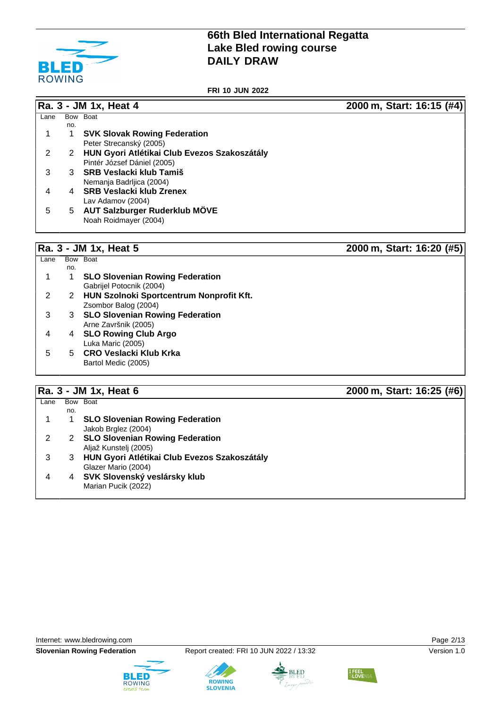

**FRI 10 JUN 2022**

**Ra. 3 - JM 1x, Heat 4 2000 m, Start: 16:15 (#4)**

| Lane | Bow | <b>Boat</b>                                  |
|------|-----|----------------------------------------------|
|      | no. |                                              |
|      | 1   | <b>SVK Slovak Rowing Federation</b>          |
|      |     | Peter Strecanský (2005)                      |
| 2    | 2   | HUN Gyori Atlétikai Club Evezos Szakoszátály |
|      |     | Pintér József Dániel (2005)                  |
| 3    | 3   | <b>SRB Veslacki klub Tamiš</b>               |
|      |     | Nemanja Badrljica (2004)                     |
| 4    | 4   | <b>SRB Veslacki klub Zrenex</b>              |
|      |     | Lav Adamov (2004)                            |
| 5    | 5.  | AUT Salzburger Ruderklub MÖVE                |
|      |     | Noah Roidmayer (2004)                        |
|      |     |                                              |

### **Ra. 3 - JM 1x, Heat 5 2000 m, Start: 16:20 (#5)**

Lane Bow Boat no. 1 1 **SLO Slovenian Rowing Federation** Gabrijel Potocnik (2004) 2 2 **HUN Szolnoki Sportcentrum Nonprofit Kft.** Zsombor Balog (2004) 3 3 **SLO Slovenian Rowing Federation** Arne Završnik (2005) 4 4 **SLO Rowing Club Argo** Luka Maric (2005) 5 5 **CRO Veslacki Klub Krka** Bartol Medic (2005)

### **Ra. 3 - JM 1x, Heat 6 2000 m, Start: 16:25 (#6)**

| Lane |     | Bow Boat                                     |
|------|-----|----------------------------------------------|
|      | no. |                                              |
|      |     | <b>SLO Slovenian Rowing Federation</b>       |
|      |     | Jakob Brglez (2004)                          |
|      |     | 2 SLO Slovenian Rowing Federation            |
|      |     | Aljaž Kunstelj (2005)                        |
|      | 3   | HUN Gyori Atlétikai Club Evezos Szakoszátály |
|      |     | Glazer Mario (2004)                          |
|      | 4   | SVK Slovenský veslársky klub                 |
|      |     | Marian Pucik (2022)                          |
|      |     |                                              |







**ROWING** 



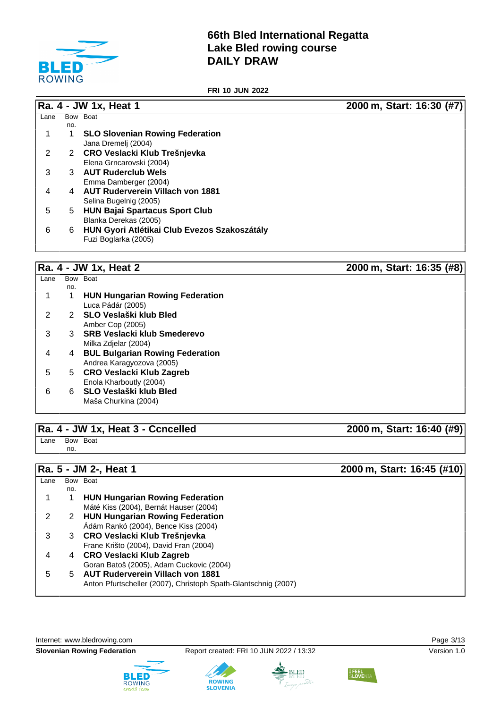

**FRI 10 JUN 2022**

**Ra. 4 - JW 1x, Heat 1 2000 m, Start: 16:30 (#7)**

| Lane |     | Bow Boat                                     |
|------|-----|----------------------------------------------|
|      | no. |                                              |
|      |     | <b>SLO Slovenian Rowing Federation</b>       |
|      |     | Jana Dremelj (2004)                          |
|      |     | 2 CRO Veslacki Klub Trešnjevka               |
|      |     | Elena Grncarovski (2004)                     |
| 3    | 3   | <b>AUT Ruderclub Wels</b>                    |
|      |     | Emma Damberger (2004)                        |
| 4    | 4   | <b>AUT Ruderverein Villach von 1881</b>      |
|      |     | Selina Bugelnig (2005)                       |
| 5    | 5.  | <b>HUN Bajai Spartacus Sport Club</b>        |
|      |     | Blanka Derekas (2005)                        |
| 6    | 6   | HUN Gyori Atlétikai Club Evezos Szakoszátály |
|      |     | Fuzi Boglarka (2005)                         |

### **Ra. 4 - JW 1x, Heat 2 2000 m, Start: 16:35 (#8)**

| Lane |     | Bow Boat                               |
|------|-----|----------------------------------------|
|      | no. |                                        |
|      |     | <b>HUN Hungarian Rowing Federation</b> |
|      |     | Luca Pádár (2005)                      |
| 2    |     | SLO Veslaški klub Bled                 |
|      |     | Amber Cop (2005)                       |
| 3    | 3   | <b>SRB Veslacki klub Smederevo</b>     |
|      |     | Milka Zdielar (2004)                   |
| 4    | 4   | <b>BUL Bulgarian Rowing Federation</b> |
|      |     | Andrea Karagyozova (2005)              |
| 5    | 5.  | CRO Veslacki Klub Zagreb               |
|      |     | Enola Kharboutly (2004)                |
| 6    | 6.  | SLO Veslaški klub Bled                 |
|      |     | Maša Churkina (2004)                   |
|      |     |                                        |

### **Ra. 4 - JW 1x, Heat 3 - Ccncelled 2000 m, Start: 16:40 (#9)**

Lane Bow Boat no.

### Lane Bow Boat no. 1 1 **HUN Hungarian Rowing Federation** Máté Kiss (2004), Bernát Hauser (2004) 2 2 **HUN Hungarian Rowing Federation** Ádám Rankó (2004), Bence Kiss (2004) 3 3 **CRO Veslacki Klub Trešnjevka** Frane Krišto (2004), David Fran (2004) 4 4 **CRO Veslacki Klub Zagreb** Goran Batoš (2005), Adam Cuckovic (2004) 5 5 **AUT Ruderverein Villach von 1881** Anton Pfurtscheller (2007), Christoph Spath-Glantschnig (2007)

Internet: [www.bledrowing.com](http://www.bledrowing.com) Page 3/13





**ROWING** 

**SLOVENIA** 





**Ra. 5 - JM 2-, Heat 1 2000 m, Start: 16:45 (#10)**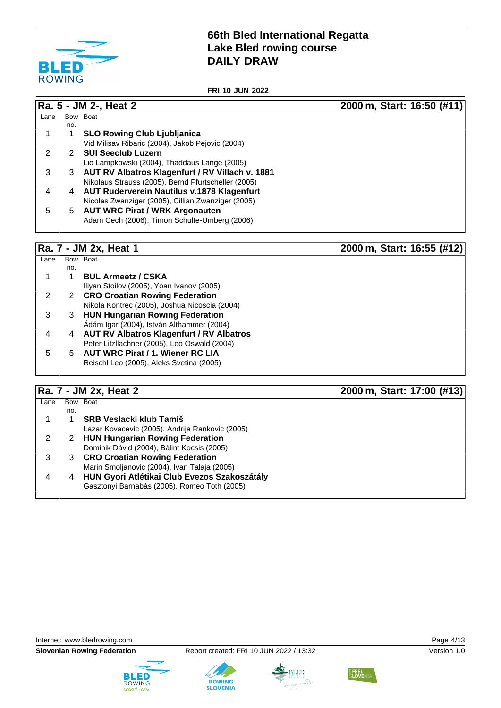

**FRI 10 JUN 2022**

**Ra. 5 - JM 2-, Heat 2 2000 m, Start: 16:50 (#11)**

| Lane | Bow | <b>Boat</b>                                         |
|------|-----|-----------------------------------------------------|
|      | no. |                                                     |
|      |     | <b>SLO Rowing Club Ljubljanica</b>                  |
|      |     | Vid Milisav Ribaric (2004), Jakob Pejovic (2004)    |
| 2    | 2   | <b>SUI Seeclub Luzern</b>                           |
|      |     | Lio Lampkowski (2004), Thaddaus Lange (2005)        |
| 3    |     | 3 AUT RV Albatros Klagenfurt / RV Villach v. 1881   |
|      |     | Nikolaus Strauss (2005), Bernd Pfurtscheller (2005) |
| 4    | 4   | <b>AUT Ruderverein Nautilus v.1878 Klagenfurt</b>   |
|      |     | Nicolas Zwanziger (2005), Cillian Zwanziger (2005)  |
| 5    | 5   | <b>AUT WRC Pirat / WRK Argonauten</b>               |
|      |     | Adam Cech (2006), Timon Schulte-Umberg (2006)       |

**Ra. 7 - JM 2x, Heat 1 2000 m, Start: 16:55 (#12)**

| Lane |     | Bow Boat                                      |
|------|-----|-----------------------------------------------|
|      | no. |                                               |
|      |     | <b>BUL Armeetz / CSKA</b>                     |
|      |     | Iliyan Stoilov (2005), Yoan Ivanov (2005)     |
|      |     | 2 CRO Croatian Rowing Federation              |
|      |     | Nikola Kontrec (2005), Joshua Nicoscia (2004) |
| 3    | 3.  | <b>HUN Hungarian Rowing Federation</b>        |
|      |     | Ádám Igar (2004), István Althammer (2004)     |
| 4    |     | 4 AUT RV Albatros Klagenfurt / RV Albatros    |
|      |     | Peter Litzllachner (2005), Leo Oswald (2004)  |
| 5    |     | 5 AUT WRC Pirat / 1. Wiener RC LIA            |
|      |     | Reischl Leo (2005), Aleks Svetina (2005)      |
|      |     |                                               |

# **Ra. 7 - JM 2x, Heat 2 2000 m, Start: 17:00 (#13)**

| Lane |     | Bow Boat                                        |
|------|-----|-------------------------------------------------|
|      | no. |                                                 |
|      |     | <b>SRB Veslacki klub Tamiš</b>                  |
|      |     | Lazar Kovacevic (2005), Andrija Rankovic (2005) |
|      |     | <b>HUN Hungarian Rowing Federation</b>          |
|      |     | Dominik Dávid (2004), Bálint Kocsis (2005)      |
|      |     | 3 CRO Croatian Rowing Federation                |
|      |     | Marin Smoljanovic (2004), Ivan Talaja (2005)    |
|      |     | 4 HUN Gyori Atlétikai Club Evezos Szakoszátály  |
|      |     | Gasztonyi Barnabás (2005), Romeo Toth (2005)    |
|      |     |                                                 |

Internet: [www.bledrowing.com](http://www.bledrowing.com) **Page 4/13** 









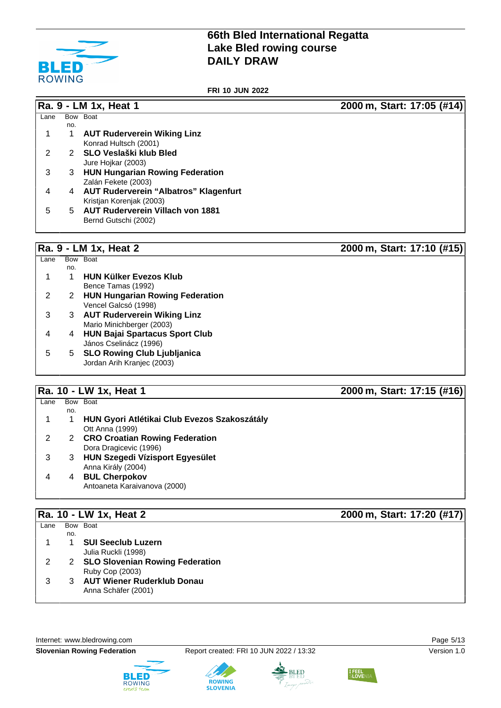

**FRI 10 JUN 2022**

**Ra. 9 - LM 1x, Heat 1 2000 m, Start: 17:05 (#14)**

| Lane | <b>Bow</b>     | <b>Boat</b>                                  |
|------|----------------|----------------------------------------------|
|      | no.            |                                              |
| 1    | 1              | <b>AUT Ruderverein Wiking Linz</b>           |
|      |                | Konrad Hultsch (2001)                        |
| 2    | 2.             | SLO Veslaški klub Bled                       |
|      |                | Jure Hojkar (2003)                           |
| 3    |                | 3 HUN Hungarian Rowing Federation            |
|      |                | Zalán Fekete (2003)                          |
| 4    | $\overline{4}$ | <b>AUT Ruderverein "Albatros" Klagenfurt</b> |
|      |                | Kristjan Korenjak (2003)                     |
| 5    | 5              | <b>AUT Ruderverein Villach von 1881</b>      |
|      |                | Bernd Gutschi (2002)                         |

### **Ra. 9 - LM 1x, Heat 2 2000 m, Start: 17:10 (#15)**

 $Lane$ no. Bow Boat 1 1 **HUN Külker Evezos Klub** Bence Tamas (1992) 2 2 **HUN Hungarian Rowing Federation** Vencel Galcsó (1998) 3 3 **AUT Ruderverein Wiking Linz** Mario Minichberger (2003) 4 4 **HUN Bajai Spartacus Sport Club** János Cselinácz (1996) 5 5 **SLO Rowing Club Ljubljanica** Jordan Arih Kranjec (2003)

### **Ra. 10 - LW 1x, Heat 1 2000 m, Start: 17:15 (#16)**

# **Ra. 10 - LW 1x, Heat 2 2000 m, Start: 17:20 (#17)**

| Lane | Bow Boat |                                   |
|------|----------|-----------------------------------|
|      | no.      |                                   |
|      |          | <b>SUI Seeclub Luzern</b>         |
|      |          | Julia Ruckli (1998)               |
|      |          | 2 SLO Slovenian Rowing Federation |
|      |          | Ruby Cop (2003)                   |
|      |          | 3 AUT Wiener Ruderklub Donau      |
|      |          | Anna Schäfer (2001)               |
|      |          |                                   |

Internet: [www.bledrowing.com](http://www.bledrowing.com) Page 5/13





**ROWING** 



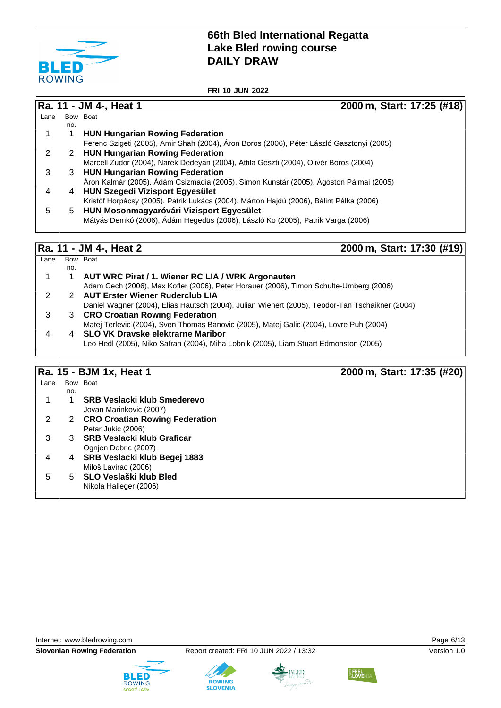

**FRI 10 JUN 2022**

### **Ra. 11 - JM 4-, Heat 1 2000 m, Start: 17:25 (#18)**  $Lane$ no. Bow Boat 1 1 **HUN Hungarian Rowing Federation** Ferenc Szigeti (2005), Amir Shah (2004), Áron Boros (2006), Péter László Gasztonyi (2005) 2 2 **HUN Hungarian Rowing Federation** Marcell Zudor (2004), Narék Dedeyan (2004), Attila Geszti (2004), Olivér Boros (2004) 3 3 **HUN Hungarian Rowing Federation** Áron Kalmár (2005), Ádám Csizmadia (2005), Simon Kunstár (2005), Ágoston Pálmai (2005) 4 4 **HUN Szegedi Vízisport Egyesület** Kristóf Horpácsy (2005), Patrik Lukács (2004), Márton Hajdú (2006), Bálint Pálka (2006) 5 5 **HUN Mosonmagyaróvári Vizisport Egyesület** Mátyás Demkó (2006), Ádám Hegedüs (2006), László Ko (2005), Patrik Varga (2006)

### **Ra. 11 - JM 4-, Heat 2 2000 m, Start: 17:30 (#19)**

### $Lane$ no. Bow Boat 1 1 **AUT WRC Pirat / 1. Wiener RC LIA / WRK Argonauten** Adam Cech (2006), Max Kofler (2006), Peter Horauer (2006), Timon Schulte-Umberg (2006) 2 2 **AUT Erster Wiener Ruderclub LIA** Daniel Wagner (2004), Elias Hautsch (2004), Julian Wienert (2005), Teodor-Tan Tschaikner (2004) 3 3 **CRO Croatian Rowing Federation** Matej Terlevic (2004), Sven Thomas Banovic (2005), Matej Galic (2004), Lovre Puh (2004) 4 4 **SLO VK Dravske elektrarne Maribor** Leo Hedl (2005), Niko Safran (2004), Miha Lobnik (2005), Liam Stuart Edmonston (2005)

### **Ra. 15 - BJM 1x, Heat 1 2000 m, Start: 17:35 (#20)**

| Lane |     | Bow Boat                           |
|------|-----|------------------------------------|
|      | no. |                                    |
|      |     | <b>SRB Veslacki klub Smederevo</b> |
|      |     | Jovan Marinkovic (2007)            |
| 2    |     | 2 CRO Croatian Rowing Federation   |
|      |     | Petar Jukic (2006)                 |
| 3    |     | 3 SRB Veslacki klub Graficar       |
|      |     | Ognien Dobric (2007)               |
| 4    |     | 4 SRB Veslacki klub Begej 1883     |
|      |     | Miloš Lavirac (2006)               |
| 5    |     | 5 SLO Veslaški klub Bled           |
|      |     | Nikola Halleger (2006)             |
|      |     |                                    |

Internet: [www.bledrowing.com](http://www.bledrowing.com) Page 6/13







**ROWING** 



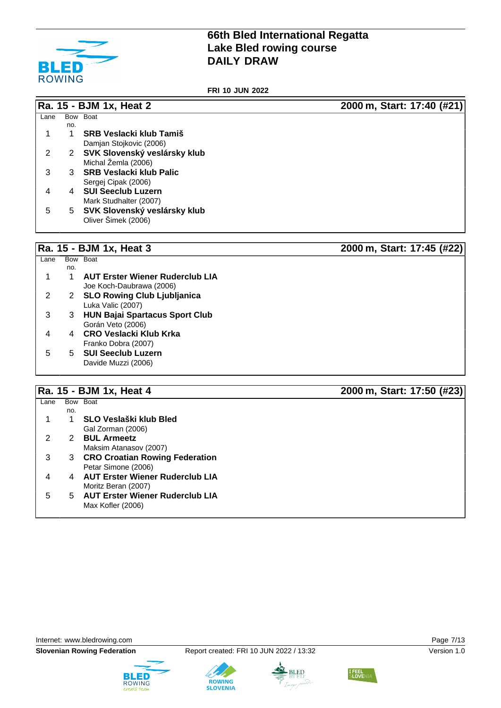

**FRI 10 JUN 2022**

|      |     | Ra. 15 - BJM 1x, Heat 2        | 2000 m, Start: 17:40 (#21) |
|------|-----|--------------------------------|----------------------------|
| Lane |     | Bow Boat                       |                            |
|      | no. |                                |                            |
|      |     | <b>SRB Veslacki klub Tamiš</b> |                            |
|      |     | Damjan Stojkovic (2006)        |                            |
| 2    | 2   | SVK Slovenský veslársky klub   |                            |
|      |     | Michal Žemla (2006)            |                            |
| 3    | 3   | <b>SRB Veslacki klub Palic</b> |                            |
|      |     | Sergej Cipak (2006)            |                            |
| 4    | 4   | <b>SUI Seeclub Luzern</b>      |                            |
|      |     | Mark Studhalter (2007)         |                            |
| 5    | 5   | SVK Slovenský veslársky klub   |                            |
|      |     | Oliver Šimek (2006)            |                            |
|      |     |                                |                            |

# **Ra. 15 - BJM 1x, Heat 3 2000 m, Start: 17:45 (#22)**

|     | Bow Boat                               |  |
|-----|----------------------------------------|--|
| no. |                                        |  |
|     | <b>AUT Erster Wiener Ruderclub LIA</b> |  |
|     | Joe Koch-Daubrawa (2006)               |  |
| 2   | <b>SLO Rowing Club Ljubljanica</b>     |  |
|     | Luka Valic (2007)                      |  |
| 3   | <b>HUN Bajai Spartacus Sport Club</b>  |  |
|     | Gorán Veto (2006)                      |  |
|     | <b>CRO Veslacki Klub Krka</b>          |  |
|     | Franko Dobra (2007)                    |  |
| 5   | <b>SUI Seeclub Luzern</b>              |  |
|     | Davide Muzzi (2006)                    |  |
|     |                                        |  |

## **Ra. 15 - BJM 1x, Heat 4 2000 m, Start: 17:50 (#23)**

| Lane |     | Bow Boat                               |
|------|-----|----------------------------------------|
|      | no. |                                        |
|      |     | SLO Veslaški klub Bled                 |
|      |     | Gal Zorman (2006)                      |
| 2    | 2   | <b>BUL Armeetz</b>                     |
|      |     | Maksim Atanasov (2007)                 |
| 3    | 3   | <b>CRO Croatian Rowing Federation</b>  |
|      |     | Petar Simone (2006)                    |
|      | 4   | <b>AUT Erster Wiener Ruderclub LIA</b> |
|      |     | Moritz Beran (2007)                    |
| 5    | 5.  | <b>AUT Erster Wiener Ruderclub LIA</b> |
|      |     | Max Kofler (2006)                      |
|      |     |                                        |









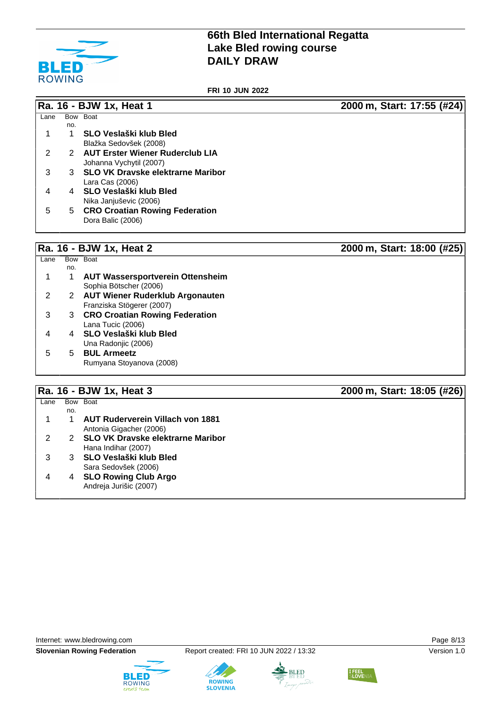

**FRI 10 JUN 2022**

# **Ra. 16 - BJW 1x, Heat 1 2000 m, Start: 17:55 (#24)**

| Lane |     | Bow Boat                               |
|------|-----|----------------------------------------|
|      | no. |                                        |
|      |     | SLO Veslaški klub Bled                 |
|      |     | Blažka Sedovšek (2008)                 |
| 2    | 2   | <b>AUT Erster Wiener Ruderclub LIA</b> |
|      |     | Johanna Vychytil (2007)                |
| 3    |     | 3 SLO VK Dravske elektrarne Maribor    |
|      |     | Lara Cas (2006)                        |
| 4    | 4   | SLO Veslaški klub Bled                 |
|      |     | Nika Janjuševic (2006)                 |
| 5    | 5   | <b>CRO Croatian Rowing Federation</b>  |
|      |     | Dora Balic (2006)                      |
|      |     |                                        |
|      |     |                                        |

# **Ra. 16 - BJW 1x, Heat 2 2000 m, Start: 18:00 (#25)**

| Lane |     | Bow Boat                                |
|------|-----|-----------------------------------------|
|      | no. |                                         |
|      |     | <b>AUT Wassersportverein Ottensheim</b> |
|      |     | Sophia Bötscher (2006)                  |
|      | 2   | <b>AUT Wiener Ruderklub Argonauten</b>  |
|      |     | Franziska Stögerer (2007)               |
| 3    | 3   | <b>CRO Croatian Rowing Federation</b>   |
|      |     | Lana Tucic (2006)                       |
|      |     | SLO Veslaški klub Bled                  |
|      |     | Una Radonjic (2006)                     |
| 5    | 5.  | <b>BUL Armeetz</b>                      |
|      |     | Rumyana Stoyanova (2008)                |
|      |     |                                         |

# **Ra. 16 - BJW 1x, Heat 3 2000 m, Start: 18:05 (#26)**

|      |     | $1141.19$ DUIT $111.0010$                | $2000$ iii, Oldi tirtoido (1120) |
|------|-----|------------------------------------------|----------------------------------|
| Lane |     | Bow Boat                                 |                                  |
|      | no. |                                          |                                  |
|      |     | <b>AUT Ruderverein Villach von 1881</b>  |                                  |
|      |     | Antonia Gigacher (2006)                  |                                  |
|      |     | <b>SLO VK Dravske elektrarne Maribor</b> |                                  |
|      |     | Hana Indihar (2007)                      |                                  |
|      |     | SLO Veslaški klub Bled                   |                                  |
|      |     | Sara Sedovšek (2006)                     |                                  |
|      | 4   | <b>SLO Rowing Club Argo</b>              |                                  |
|      |     | Andreja Jurišic (2007)                   |                                  |
|      |     |                                          |                                  |









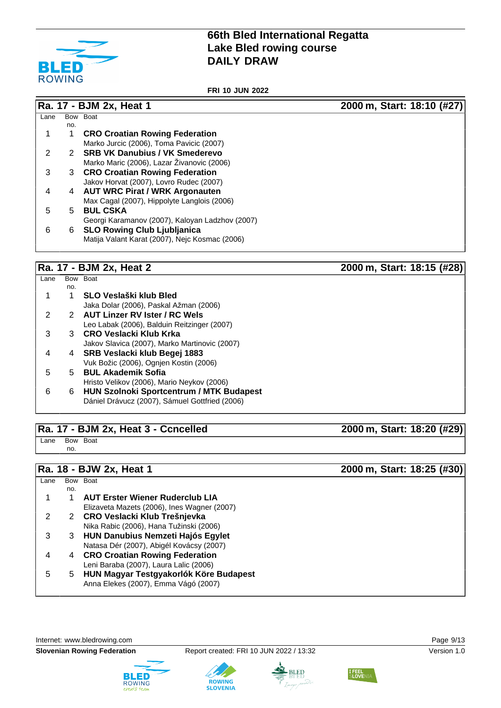

**FRI 10 JUN 2022**

|      |     | Ra. 17 - BJM 2x, Heat 1                         | 2000 m, Start: 18:10 (#27) |
|------|-----|-------------------------------------------------|----------------------------|
| Lane |     | Bow Boat                                        |                            |
|      | no. |                                                 |                            |
|      | 1   | <b>CRO Croatian Rowing Federation</b>           |                            |
|      |     | Marko Jurcic (2006), Toma Pavicic (2007)        |                            |
| 2    |     | 2 SRB VK Danubius / VK Smederevo                |                            |
|      |     | Marko Maric (2006), Lazar Živanovic (2006)      |                            |
| 3    |     | 3 CRO Croatian Rowing Federation                |                            |
|      |     | Jakov Horvat (2007), Lovro Rudec (2007)         |                            |
| 4    | 4   | <b>AUT WRC Pirat / WRK Argonauten</b>           |                            |
|      |     | Max Cagal (2007), Hippolyte Langlois (2006)     |                            |
| 5    | 5.  | <b>BUL CSKA</b>                                 |                            |
|      |     | Georgi Karamanov (2007), Kaloyan Ladzhov (2007) |                            |
| 6    | 6   | <b>SLO Rowing Club Ljubljanica</b>              |                            |
|      |     | Matija Valant Karat (2007), Nejc Kosmac (2006)  |                            |
|      |     |                                                 |                            |

# **Ra. 17 - BJM 2x, Heat 2 2000 m, Start: 18:15 (#28)**

| Lane |     | Bow Boat                                        |
|------|-----|-------------------------------------------------|
|      | no. |                                                 |
|      |     | SLO Veslaški klub Bled                          |
|      |     | Jaka Dolar (2006), Paskal Ažman (2006)          |
|      |     | <b>AUT Linzer RV Ister / RC Wels</b>            |
|      |     | Leo Labak (2006), Balduin Reitzinger (2007)     |
|      |     | 3 CRO Veslacki Klub Krka                        |
|      |     | Jakov Slavica (2007), Marko Martinovic (2007)   |
| 4    | 4   | SRB Veslacki klub Begej 1883                    |
|      |     | Vuk Božic (2006), Ognjen Kostin (2006)          |
| 5    | 5.  | <b>BUL Akademik Sofia</b>                       |
|      |     | Hristo Velikov (2006), Mario Neykov (2006)      |
| 6    | 6   | <b>HUN Szolnoki Sportcentrum / MTK Budapest</b> |
|      |     | Dániel Drávucz (2007), Sámuel Gottfried (2006)  |
|      |     |                                                 |

## **Ra. 17 - BJM 2x, Heat 3 - Ccncelled 2000 m, Start: 18:20 (#29)**

Lane Bow Boat no.

# **Ra. 18 - BJW 2x, Heat 1 2000 m, Start: 18:25 (#30)**

|      | INA. IV - DJYY ZA, II <del>C</del> AL I<br>$2000$ III, Oldit. 10.29 ( $\pi$ 90) |                                             |  |  |
|------|---------------------------------------------------------------------------------|---------------------------------------------|--|--|
| Lane |                                                                                 | Bow Boat                                    |  |  |
|      | no.                                                                             |                                             |  |  |
|      |                                                                                 | <b>AUT Erster Wiener Ruderclub LIA</b>      |  |  |
|      |                                                                                 | Elizaveta Mazets (2006), Ines Wagner (2007) |  |  |
|      | 2                                                                               | CRO Veslacki Klub Trešnjevka                |  |  |
|      |                                                                                 | Nika Rabic (2006), Hana Tužinski (2006)     |  |  |
| 3    | 3                                                                               | <b>HUN Danubius Nemzeti Hajós Egylet</b>    |  |  |
|      |                                                                                 | Natasa Dér (2007), Abigél Kovácsy (2007)    |  |  |
| 4    | 4                                                                               | <b>CRO Croatian Rowing Federation</b>       |  |  |
|      |                                                                                 | Leni Baraba (2007), Laura Lalic (2006)      |  |  |
| 5    | 5.                                                                              | HUN Magyar Testgyakorlók Köre Budapest      |  |  |
|      |                                                                                 | Anna Elekes (2007), Emma Vágó (2007)        |  |  |
|      |                                                                                 |                                             |  |  |

Internet: [www.bledrowing.com](http://www.bledrowing.com) **Page 9/13** 











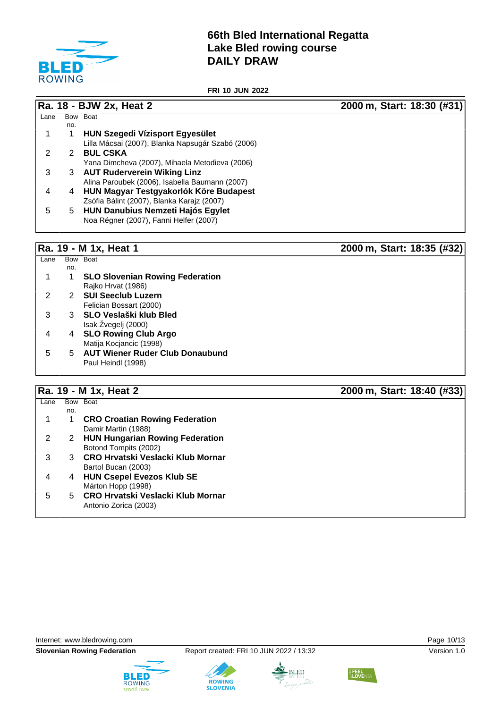

**FRI 10 JUN 2022**

**Ra. 18 - BJW 2x, Heat 2 2000 m, Start: 18:30 (#31)**

| Lane | Bow | <b>Boat</b>                                       |
|------|-----|---------------------------------------------------|
|      | no. |                                                   |
| 1    | 1   | <b>HUN Szegedi Vízisport Egyesület</b>            |
|      |     | Lilla Mácsai (2007), Blanka Napsugár Szabó (2006) |
| 2    |     | <b>BUL CSKA</b>                                   |
|      |     | Yana Dimcheva (2007), Mihaela Metodieva (2006)    |
| 3    | 3   | <b>AUT Ruderverein Wiking Linz</b>                |
|      |     | Alina Paroubek (2006), Isabella Baumann (2007)    |
| 4    | 4   | HUN Magyar Testgyakorlók Köre Budapest            |
|      |     | Zsófia Bálint (2007), Blanka Karajz (2007)        |
| 5    | 5   | <b>HUN Danubius Nemzeti Hajós Egylet</b>          |
|      |     | Noa Régner (2007), Fanni Helfer (2007)            |
|      |     |                                                   |

### **Ra. 19 - M 1x, Heat 1 2000 m, Start: 18:35 (#32)**

Lane Bow Boat no. 1 1 **SLO Slovenian Rowing Federation** Rajko Hrvat (1986) 2 2 **SUI Seeclub Luzern** Felician Bossart (2000) 3 3 **SLO Veslaški klub Bled** Isak Žvegelj (2000) 4 4 **SLO Rowing Club Argo** Matija Kocjancic (1998) 5 5 **AUT Wiener Ruder Club Donaubund** Paul Heindl (1998)

### **Ra. 19 - M 1x, Heat 2 2000 m, Start: 18:40 (#33)**

| Lane |     | Bow Boat                                 |  |
|------|-----|------------------------------------------|--|
|      | no. |                                          |  |
|      |     | <b>CRO Croatian Rowing Federation</b>    |  |
|      |     | Damir Martin (1988)                      |  |
|      |     | <b>HUN Hungarian Rowing Federation</b>   |  |
|      |     | Botond Tompits (2002)                    |  |
|      | 3   | <b>CRO Hrvatski Veslacki Klub Mornar</b> |  |
|      |     | Bartol Bucan (2003)                      |  |
|      | 4   | <b>HUN Csepel Evezos Klub SE</b>         |  |
|      |     | Márton Hopp (1998)                       |  |
| 5    | 5.  | <b>CRO Hrvatski Veslacki Klub Mornar</b> |  |
|      |     | Antonio Zorica (2003)                    |  |
|      |     |                                          |  |







**ROWING** 



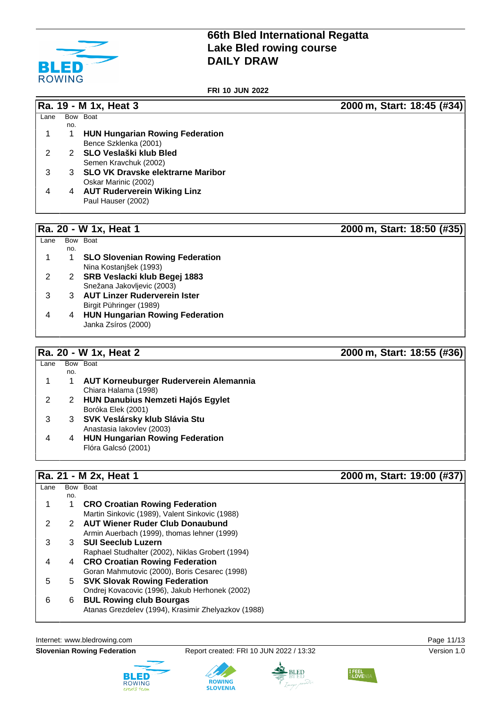

**FRI 10 JUN 2022**

**Ra. 19 - M 1x, Heat 3 2000 m, Start: 18:45 (#34)**

| <b>HUN Hungarian Rowing Federation</b> |
|----------------------------------------|
| Bence Szklenka (2001)                  |
| SLO Veslaški klub Bled<br>2            |
| Semen Kravchuk (2002)                  |
| 3 SLO VK Dravske elektrarne Maribor    |
| Oskar Marinic (2002)                   |
| <b>AUT Ruderverein Wiking Linz</b>     |
| Paul Hauser (2002)                     |
|                                        |
| 4                                      |

Lane Bow Boat

# **Ra. 20 - W 1x, Heat 1 2000 m, Start: 18:50 (#35)**

|   | no. |                                        |
|---|-----|----------------------------------------|
| 1 |     | <b>SLO Slovenian Rowing Federation</b> |
|   |     | Nina Kostanjšek (1993)                 |
| 2 | 2   | SRB Veslacki klub Begej 1883           |
|   |     | Snežana Jakovljevic (2003)             |
| 3 | 3   | <b>AUT Linzer Ruderverein Ister</b>    |
|   |     | Birgit Pühringer (1989)                |
| 4 |     | <b>HUN Hungarian Rowing Federation</b> |
|   |     | Janka Zsíros (2000)                    |

## **Ra. 20 - W 1x, Heat 2 2000 m, Start: 18:55 (#36)**

| Lane |     | Bow Boat                                 |
|------|-----|------------------------------------------|
|      | no. |                                          |
|      |     | AUT Korneuburger Ruderverein Alemannia   |
|      |     | Chiara Halama (1998)                     |
|      | 2   | <b>HUN Danubius Nemzeti Hajós Egylet</b> |
|      |     | Boróka Elek (2001)                       |
| 3    | 3   | SVK Veslársky klub Slávia Stu            |
|      |     | Anastasia lakovlev (2003)                |
| 4    | 4   | <b>HUN Hungarian Rowing Federation</b>   |
|      |     | Flóra Galcsó (2001)                      |
|      |     |                                          |

# **Ra. 21 - M 2x, Heat 1 2000 m, Start: 19:00 (#37)**

| Lane |     | Bow Boat                                            |
|------|-----|-----------------------------------------------------|
|      | no. |                                                     |
|      |     | <b>CRO Croatian Rowing Federation</b>               |
|      |     | Martin Sinkovic (1989), Valent Sinkovic (1988)      |
|      |     | <b>AUT Wiener Ruder Club Donaubund</b>              |
|      |     | Armin Auerbach (1999), thomas lehner (1999)         |
| 3    | 3   | <b>SUI Seeclub Luzern</b>                           |
|      |     | Raphael Studhalter (2002), Niklas Grobert (1994)    |
|      | 4   | <b>CRO Croatian Rowing Federation</b>               |
|      |     | Goran Mahmutovic (2000), Boris Cesarec (1998)       |
| 5    |     | 5 SVK Slovak Rowing Federation                      |
|      |     | Ondrej Kovacovic (1996), Jakub Herhonek (2002)      |
| 6    | 6   | <b>BUL Rowing club Bourgas</b>                      |
|      |     | Atanas Grezdelev (1994), Krasimir Zhelyazkov (1988) |
|      |     |                                                     |

Internet: [www.bledrowing.com](http://www.bledrowing.com) **Page 11/13** 

**Slovenian Rowing Federation** Report created: FRI 10 JUN 2022 / 13:32 Version 1.0







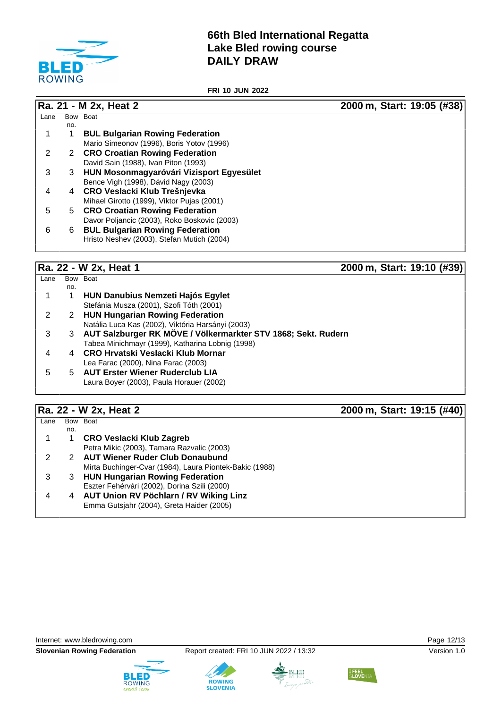

**FRI 10 JUN 2022**

|      |     | Ra. 21 - M 2x, Heat 2                        | 2000 m, Start: 19:05 (#38) |
|------|-----|----------------------------------------------|----------------------------|
| Lane |     | Bow Boat                                     |                            |
|      | no. |                                              |                            |
|      |     | <b>BUL Bulgarian Rowing Federation</b>       |                            |
|      |     | Mario Simeonov (1996), Boris Yotov (1996)    |                            |
| 2    |     | 2 CRO Croatian Rowing Federation             |                            |
|      |     | David Sain (1988), Ivan Piton (1993)         |                            |
| 3    | 3   | HUN Mosonmagyaróvári Vizisport Egyesület     |                            |
|      |     | Bence Vigh (1998), Dávid Nagy (2003)         |                            |
| 4    | 4   | CRO Veslacki Klub Trešnjevka                 |                            |
|      |     | Mihael Girotto (1999), Viktor Pujas (2001)   |                            |
| 5    | 5   | <b>CRO Croatian Rowing Federation</b>        |                            |
|      |     | Davor Poljancic (2003), Roko Boskovic (2003) |                            |
| 6    | 6   | <b>BUL Bulgarian Rowing Federation</b>       |                            |
|      |     | Hristo Neshev (2003), Stefan Mutich (2004)   |                            |
|      |     |                                              |                            |
|      |     |                                              |                            |
|      |     |                                              |                            |

### **Ra. 22 - W 2x, Heat 1 2000 m, Start: 19:10 (#39)**

| Lane |     | Bow Boat                                                      |
|------|-----|---------------------------------------------------------------|
|      | no. |                                                               |
|      |     | HUN Danubius Nemzeti Hajós Egylet                             |
|      |     | Stefánia Musza (2001), Szofi Tóth (2001)                      |
|      | 2   | <b>HUN Hungarian Rowing Federation</b>                        |
|      |     | Natália Luca Kas (2002), Viktória Harsányi (2003)             |
| 3    |     | AUT Salzburger RK MÖVE / Völkermarkter STV 1868; Sekt. Rudern |
|      |     | Tabea Minichmayr (1999), Katharina Lobnig (1998)              |
| 4    |     | CRO Hrvatski Veslacki Klub Mornar                             |
|      |     | Lea Farac (2000), Nina Farac (2003)                           |
| 5.   | 5.  | <b>AUT Erster Wiener Ruderclub LIA</b>                        |
|      |     | Laura Boyer (2003), Paula Horauer (2002)                      |
|      |     |                                                               |

# **Ra. 22 - W 2x, Heat 2 2000 m, Start: 19:15 (#40)**

| Lane |     | Bow Boat                                                |
|------|-----|---------------------------------------------------------|
|      | no. |                                                         |
|      |     | <b>CRO Veslacki Klub Zagreb</b>                         |
|      |     | Petra Mikic (2003), Tamara Razvalic (2003)              |
|      |     | <b>AUT Wiener Ruder Club Donaubund</b>                  |
|      |     | Mirta Buchinger-Cvar (1984), Laura Piontek-Bakic (1988) |
|      | З   | <b>HUN Hungarian Rowing Federation</b>                  |
|      |     | Eszter Fehérvári (2002), Dorina Szili (2000)            |
|      | 4   | AUT Union RV Pöchlarn / RV Wiking Linz                  |
|      |     | Emma Gutsjahr (2004), Greta Haider (2005)               |
|      |     |                                                         |

Internet: [www.bledrowing.com](http://www.bledrowing.com) **Page 12/13**